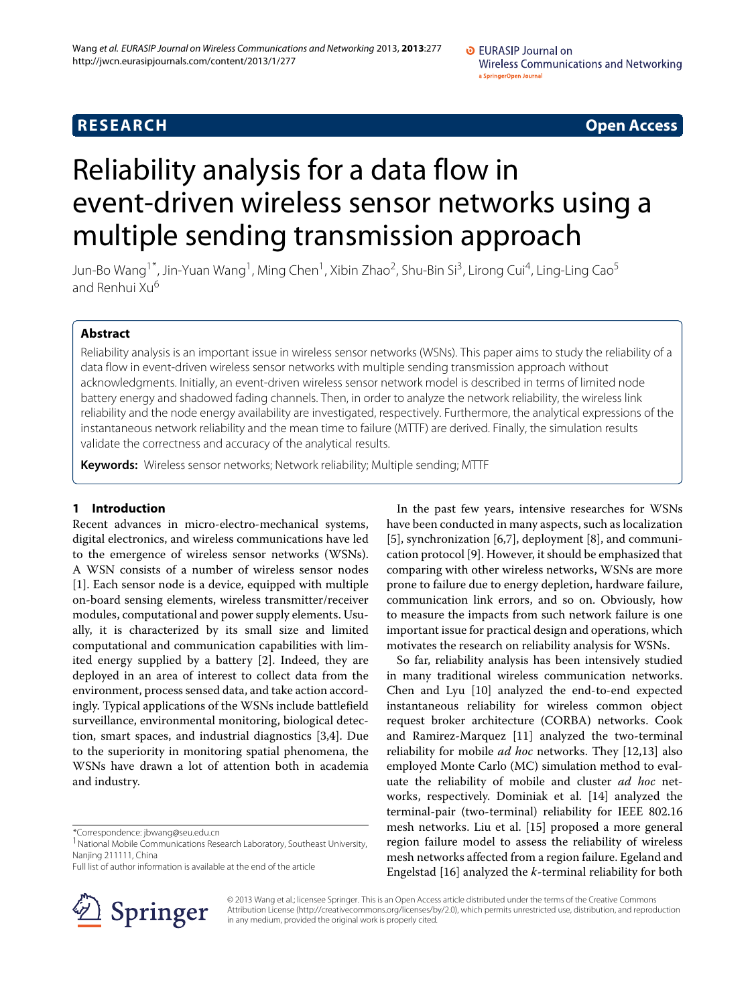# **RESEARCH Open Access**

# Reliability analysis for a data flow in event-driven wireless sensor networks using a multiple sending transmission approach

Jun-Bo Wang<sup>1\*</sup>, Jin-Yuan Wang<sup>1</sup>, Ming Chen<sup>1</sup>, Xibin Zhao<sup>2</sup>, Shu-Bin Si<sup>3</sup>, Lirong Cui<sup>4</sup>, Ling-Ling Cao<sup>5</sup> and Renhui Xu<sup>6</sup>

# **Abstract**

Reliability analysis is an important issue in wireless sensor networks (WSNs). This paper aims to study the reliability of a data flow in event-driven wireless sensor networks with multiple sending transmission approach without acknowledgments. Initially, an event-driven wireless sensor network model is described in terms of limited node battery energy and shadowed fading channels. Then, in order to analyze the network reliability, the wireless link reliability and the node energy availability are investigated, respectively. Furthermore, the analytical expressions of the instantaneous network reliability and the mean time to failure (MTTF) are derived. Finally, the simulation results validate the correctness and accuracy of the analytical results.

**Keywords:** Wireless sensor networks; Network reliability; Multiple sending; MTTF

# **1 Introduction**

Recent advances in micro-electro-mechanical systems, digital electronics, and wireless communications have led to the emergence of wireless sensor networks (WSNs). A WSN consists of a number of wireless sensor nodes [\[1\]](#page-9-0). Each sensor node is a device, equipped with multiple on-board sensing elements, wireless transmitter/receiver modules, computational and power supply elements. Usually, it is characterized by its small size and limited computational and communication capabilities with limited energy supplied by a battery [\[2\]](#page-9-1). Indeed, they are deployed in an area of interest to collect data from the environment, process sensed data, and take action accordingly. Typical applications of the WSNs include battlefield surveillance, environmental monitoring, biological detection, smart spaces, and industrial diagnostics [\[3,](#page-9-2)[4\]](#page-9-3). Due to the superiority in monitoring spatial phenomena, the WSNs have drawn a lot of attention both in academia and industry.

\*Correspondence: jbwang@seu.edu.cn

Full list of author information is available at the end of the article



In the past few years, intensive researches for WSNs have been conducted in many aspects, such as localization [\[5\]](#page-9-4), synchronization [\[6](#page-9-5)[,7\]](#page-9-6), deployment [\[8\]](#page-9-7), and communication protocol [\[9\]](#page-9-8). However, it should be emphasized that comparing with other wireless networks, WSNs are more prone to failure due to energy depletion, hardware failure, communication link errors, and so on. Obviously, how to measure the impacts from such network failure is one important issue for practical design and operations, which motivates the research on reliability analysis for WSNs.

So far, reliability analysis has been intensively studied in many traditional wireless communication networks. Chen and Lyu [\[10\]](#page-9-9) analyzed the end-to-end expected instantaneous reliability for wireless common object request broker architecture (CORBA) networks. Cook and Ramirez-Marquez [\[11\]](#page-9-10) analyzed the two-terminal reliability for mobile *ad hoc* networks. They [\[12,](#page-9-11)[13\]](#page-9-12) also employed Monte Carlo (MC) simulation method to evaluate the reliability of mobile and cluster *ad hoc* networks, respectively. Dominiak et al. [\[14\]](#page-9-13) analyzed the terminal-pair (two-terminal) reliability for IEEE 802.16 mesh networks. Liu et al. [\[15\]](#page-9-14) proposed a more general region failure model to assess the reliability of wireless mesh networks affected from a region failure. Egeland and Engelstad [\[16\]](#page-10-0) analyzed the *k*-terminal reliability for both

© 2013 Wang et al.; licensee Springer. This is an Open Access article distributed under the terms of the Creative Commons Attribution License (http://creativecommons.org/licenses/by/2.0), which permits unrestricted use, distribution, and reproduction in any medium, provided the original work is properly cited.

<sup>1</sup>National Mobile Communications Research Laboratory, Southeast University, Nanjing 211111, China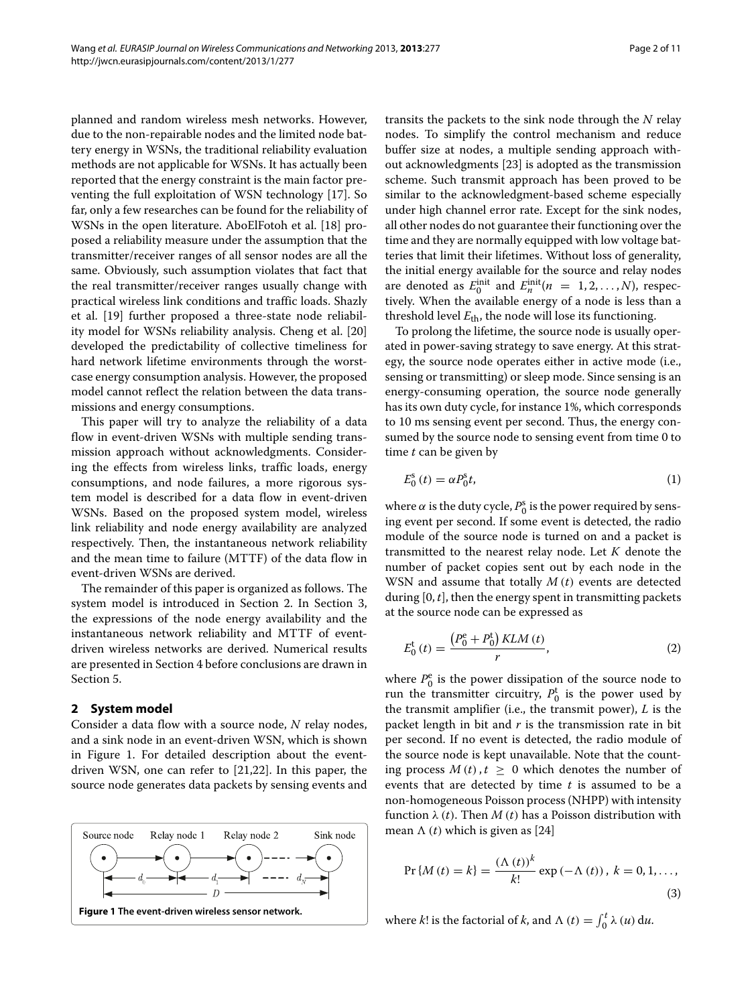planned and random wireless mesh networks. However, due to the non-repairable nodes and the limited node battery energy in WSNs, the traditional reliability evaluation methods are not applicable for WSNs. It has actually been reported that the energy constraint is the main factor preventing the full exploitation of WSN technology [\[17\]](#page-10-1). So far, only a few researches can be found for the reliability of WSNs in the open literature. AboElFotoh et al. [\[18\]](#page-10-2) proposed a reliability measure under the assumption that the transmitter/receiver ranges of all sensor nodes are all the same. Obviously, such assumption violates that fact that the real transmitter/receiver ranges usually change with practical wireless link conditions and traffic loads. Shazly et al. [\[19\]](#page-10-3) further proposed a three-state node reliability model for WSNs reliability analysis. Cheng et al. [\[20\]](#page-10-4) developed the predictability of collective timeliness for hard network lifetime environments through the worstcase energy consumption analysis. However, the proposed model cannot reflect the relation between the data transmissions and energy consumptions.

This paper will try to analyze the reliability of a data flow in event-driven WSNs with multiple sending transmission approach without acknowledgments. Considering the effects from wireless links, traffic loads, energy consumptions, and node failures, a more rigorous system model is described for a data flow in event-driven WSNs. Based on the proposed system model, wireless link reliability and node energy availability are analyzed respectively. Then, the instantaneous network reliability and the mean time to failure (MTTF) of the data flow in event-driven WSNs are derived.

The remainder of this paper is organized as follows. The system model is introduced in Section [2.](#page-1-0) In Section [3,](#page-2-0) the expressions of the node energy availability and the instantaneous network reliability and MTTF of eventdriven wireless networks are derived. Numerical results are presented in Section [4](#page-5-0) before conclusions are drawn in Section [5.](#page-7-0)

# <span id="page-1-0"></span>**2 System model**

Consider a data flow with a source node, *N* relay nodes, and a sink node in an event-driven WSN, which is shown in Figure [1.](#page-1-1) For detailed description about the eventdriven WSN, one can refer to [\[21,](#page-10-5)[22\]](#page-10-6). In this paper, the source node generates data packets by sensing events and

<span id="page-1-1"></span>

transits the packets to the sink node through the *N* relay nodes. To simplify the control mechanism and reduce buffer size at nodes, a multiple sending approach without acknowledgments [\[23\]](#page-10-7) is adopted as the transmission scheme. Such transmit approach has been proved to be similar to the acknowledgment-based scheme especially under high channel error rate. Except for the sink nodes, all other nodes do not guarantee their functioning over the time and they are normally equipped with low voltage batteries that limit their lifetimes. Without loss of generality, the initial energy available for the source and relay nodes are denoted as  $E_0^{\text{init}}$  and  $E_n^{\text{init}}(n = 1, 2, ..., N)$ , respectively. When the available energy of a node is less than a threshold level  $E_{\text{th}}$ , the node will lose its functioning.

To prolong the lifetime, the source node is usually operated in power-saving strategy to save energy. At this strategy, the source node operates either in active mode (i.e., sensing or transmitting) or sleep mode. Since sensing is an energy-consuming operation, the source node generally has its own duty cycle, for instance 1%, which corresponds to 10 ms sensing event per second. Thus, the energy consumed by the source node to sensing event from time 0 to time *t* can be given by

$$
E_0^s(t) = \alpha P_0^s t,\tag{1}
$$

where  $\alpha$  is the duty cycle,  $P_0^{\rm s}$  is the power required by sensing event per second. If some event is detected, the radio module of the source node is turned on and a packet is transmitted to the nearest relay node. Let *K* denote the number of packet copies sent out by each node in the WSN and assume that totally *M (t)* events are detected during [0, *t*], then the energy spent in transmitting packets at the source node can be expressed as

$$
E_0^{\rm t}(t) = \frac{(P_0^{\rm e} + P_0^{\rm t}) KLM(t)}{r}, \tag{2}
$$

where  $P_0^e$  is the power dissipation of the source node to run the transmitter circuitry,  $P_0^t$  is the power used by the transmit amplifier (i.e., the transmit power), *L* is the packet length in bit and *r* is the transmission rate in bit per second. If no event is detected, the radio module of the source node is kept unavailable. Note that the counting process  $M(t)$ ,  $t > 0$  which denotes the number of events that are detected by time *t* is assumed to be a non-homogeneous Poisson process (NHPP) with intensity function *λ (t)*. Then *M (t)* has a Poisson distribution with mean  $\Lambda$  (*t*) which is given as [\[24\]](#page-10-8)

<span id="page-1-2"></span>
$$
Pr\{M(t) = k\} = \frac{(\Lambda(t))^{k}}{k!} \exp(-\Lambda(t)), k = 0, 1, ...,
$$
\n(3)

where *k*! is the factorial of *k*, and  $\Lambda$  (*t*) =  $\int_0^t \lambda$  (*u*) d*u*.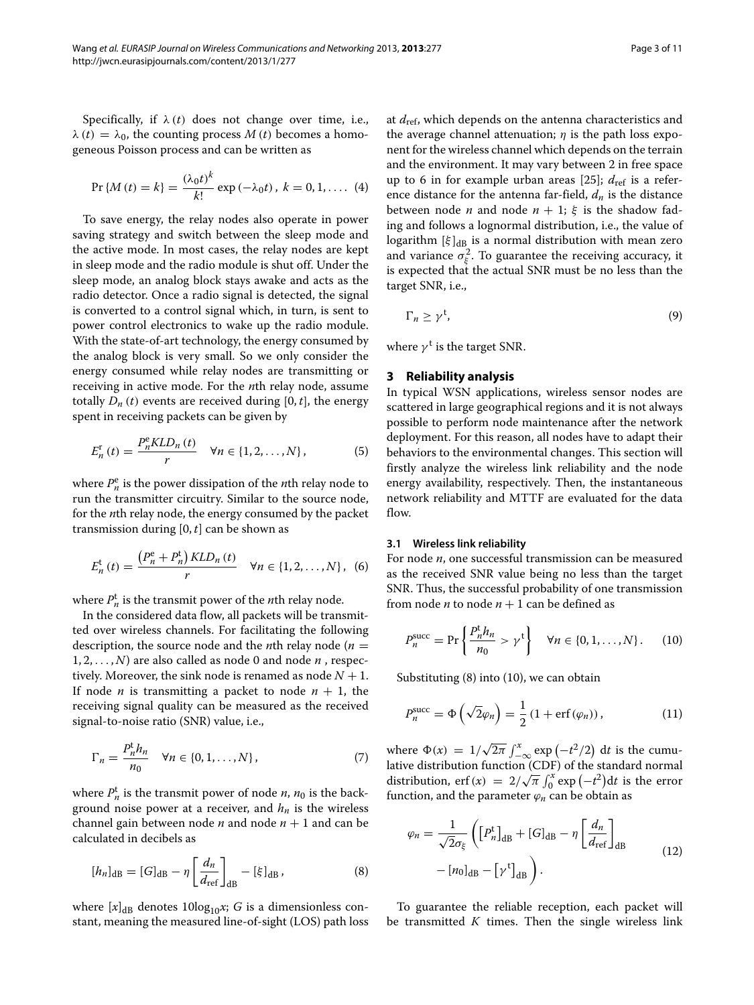Specifically, if  $\lambda(t)$  does not change over time, i.e.,  $λ(t) = λ<sub>0</sub>$ , the counting process *M* (*t*) becomes a homogeneous Poisson process and can be written as

$$
Pr\{M(t) = k\} = \frac{(\lambda_0 t)^k}{k!} \exp(-\lambda_0 t), \ k = 0, 1, \dots (4)
$$

To save energy, the relay nodes also operate in power saving strategy and switch between the sleep mode and the active mode. In most cases, the relay nodes are kept in sleep mode and the radio module is shut off. Under the sleep mode, an analog block stays awake and acts as the radio detector. Once a radio signal is detected, the signal is converted to a control signal which, in turn, is sent to power control electronics to wake up the radio module. With the state-of-art technology, the energy consumed by the analog block is very small. So we only consider the energy consumed while relay nodes are transmitting or receiving in active mode. For the *n*th relay node, assume totally  $D_n(t)$  events are received during [0, *t*], the energy spent in receiving packets can be given by

$$
E_n^{\rm r}(t) = \frac{P_n^{\rm e}KLD_n(t)}{r} \quad \forall n \in \{1, 2, \dots, N\},\tag{5}
$$

where  $P_n^e$  is the power dissipation of the *n*th relay node to run the transmitter circuitry. Similar to the source node, for the *n*th relay node, the energy consumed by the packet transmission during [0, *t*] can be shown as

$$
E_n^{\rm t}(t) = \frac{(P_n^{\rm e} + P_n^{\rm t}) KLD_n(t)}{r} \quad \forall n \in \{1, 2, ..., N\}, \tag{6}
$$

where  $P_n^t$  is the transmit power of the *n*th relay node.

In the considered data flow, all packets will be transmitted over wireless channels. For facilitating the following description, the source node and the *n*th relay node ( $n =$  $1, 2, \ldots, N$  are also called as node 0 and node  $n$ , respectively. Moreover, the sink node is renamed as node  $N + 1$ . If node *n* is transmitting a packet to node  $n + 1$ , the receiving signal quality can be measured as the received signal-to-noise ratio (SNR) value, i.e.,

$$
\Gamma_n = \frac{P_n^{\dagger} h_n}{n_0} \quad \forall n \in \{0, 1, \dots, N\},\tag{7}
$$

where  $P_n^t$  is the transmit power of node *n*,  $n_0$  is the background noise power at a receiver, and *hn* is the wireless channel gain between node *n* and node  $n + 1$  and can be calculated in decibels as

<span id="page-2-1"></span>
$$
[h_n]_{\rm dB} = [G]_{\rm dB} - \eta \left[ \frac{d_n}{d_{\rm ref}} \right]_{\rm dB} - [\xi]_{\rm dB}, \qquad (8)
$$

where  $[x]_{dB}$  denotes 10log<sub>10</sub>x; *G* is a dimensionless constant, meaning the measured line-of-sight (LOS) path loss at *d*ref, which depends on the antenna characteristics and the average channel attenuation; *η* is the path loss exponent for the wireless channel which depends on the terrain and the environment. It may vary between 2 in free space up to 6 in for example urban areas [\[25\]](#page-10-9);  $d_{\text{ref}}$  is a reference distance for the antenna far-field,  $d_n$  is the distance between node *n* and node  $n + 1$ ;  $\xi$  is the shadow fading and follows a lognormal distribution, i.e., the value of logarithm  $[\xi]_{dB}$  is a normal distribution with mean zero and variance  $\sigma_{\xi}^2$ . To guarantee the receiving accuracy, it is expected that the actual SNR must be no less than the target SNR, i.e.,

$$
\Gamma_n \ge \gamma^{\mathfrak{t}},\tag{9}
$$

where  $\gamma^t$  is the target SNR.

# <span id="page-2-0"></span>**3 Reliability analysis**

In typical WSN applications, wireless sensor nodes are scattered in large geographical regions and it is not always possible to perform node maintenance after the network deployment. For this reason, all nodes have to adapt their behaviors to the environmental changes. This section will firstly analyze the wireless link reliability and the node energy availability, respectively. Then, the instantaneous network reliability and MTTF are evaluated for the data flow.

#### **3.1 Wireless link reliability**

For node *n*, one successful transmission can be measured as the received SNR value being no less than the target SNR. Thus, the successful probability of one transmission from node *n* to node  $n + 1$  can be defined as

<span id="page-2-2"></span>
$$
P_n^{\text{succ}} = \Pr\left\{\frac{P_n^{\text{t}} h_n}{n_0} > \gamma^{\text{t}}\right\} \quad \forall n \in \{0, 1, \dots, N\}.
$$
 (10)

Substituting [\(8\)](#page-2-1) into [\(10\)](#page-2-2), we can obtain

$$
P_n^{\text{succ}} = \Phi\left(\sqrt{2}\varphi_n\right) = \frac{1}{2} \left(1 + \text{erf}\left(\varphi_n\right)\right),\tag{11}
$$

where  $\Phi(x) = 1/\sqrt{2\pi} \int_{-\infty}^{x} \exp(-t^2/2) dt$  is the cumulative distribution function (CDF) of the standard normal distribution, erf*(x)* =  $2/\sqrt{\pi} \int_0^x \exp(-t^2) dt$  is the error function, and the parameter  $\varphi_n$  can be obtain as

$$
\varphi_n = \frac{1}{\sqrt{2}\sigma_{\xi}} \left( \left[ P_n^{\dagger} \right]_{\text{dB}} + \left[ G \right]_{\text{dB}} - \eta \left[ \frac{d_n}{d_{\text{ref}}} \right]_{\text{dB}} - \left[ n_0 \right]_{\text{dB}} - \left[ \gamma^{\dagger} \right]_{\text{dB}} \right). \tag{12}
$$

To guarantee the reliable reception, each packet will be transmitted *K* times. Then the single wireless link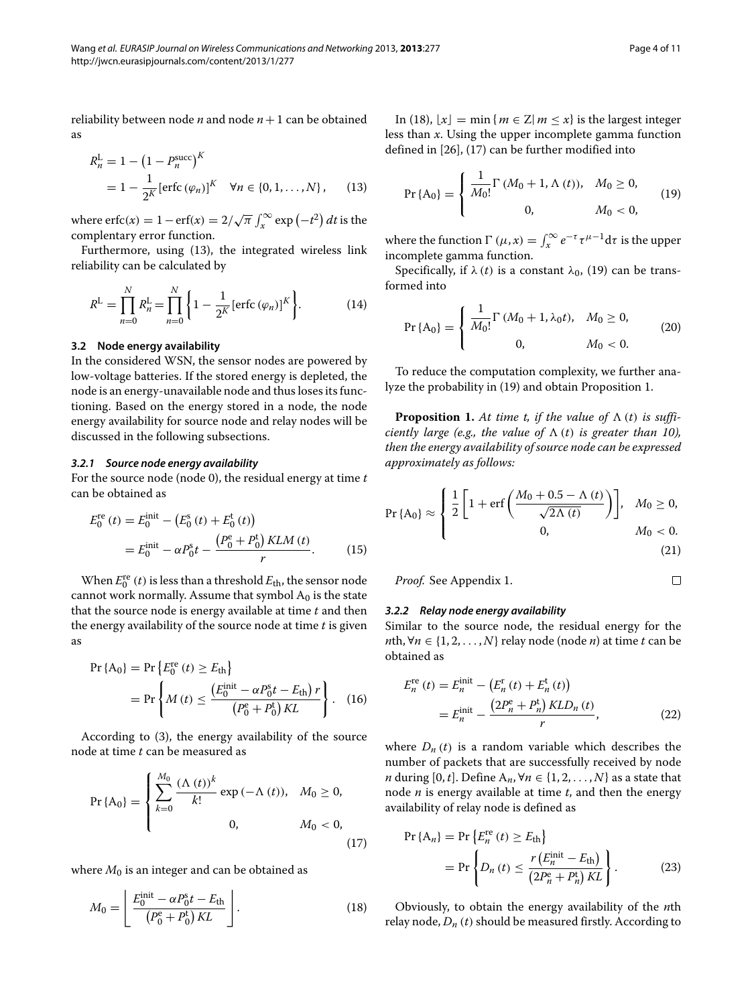reliability between node  $n$  and node  $n+1$  can be obtained as

$$
R_n^{\text{L}} = 1 - (1 - P_n^{\text{succ}})^K
$$
  
=  $1 - \frac{1}{2^K} [\text{erfc}(\varphi_n)]^K \quad \forall n \in \{0, 1, ..., N\},$  (13)

where  $\text{erfc}(x) = 1 - \text{erf}(x) = 2/\sqrt{\pi} \int_x^{\infty} \exp(-t^2) dt$  is the complentary error function.

Furthermore, using [\(13\)](#page-3-0), the integrated wireless link reliability can be calculated by

$$
R^{\mathcal{L}} = \prod_{n=0}^{N} R_n^{\mathcal{L}} = \prod_{n=0}^{N} \left\{ 1 - \frac{1}{2^K} [\text{erfc}(\varphi_n)]^K \right\}.
$$
 (14)

## **3.2 Node energy availability**

In the considered WSN, the sensor nodes are powered by low-voltage batteries. If the stored energy is depleted, the node is an energy-unavailable node and thus loses its functioning. Based on the energy stored in a node, the node energy availability for source node and relay nodes will be discussed in the following subsections.

#### *3.2.1 Source node energy availability*

For the source node (node 0), the residual energy at time *t* can be obtained as

$$
E_0^{\text{re}}(t) = E_0^{\text{init}} - (E_0^{\text{s}}(t) + E_0^{\text{t}}(t))
$$
  
= 
$$
E_0^{\text{init}} - \alpha P_0^{\text{s}} t - \frac{(P_0^{\text{e}} + P_0^{\text{t}}) K L M(t)}{r}.
$$
 (15)

When  $E_0^{\text{re}}(t)$  is less than a threshold  $E_{\text{th}}$ , the sensor node cannot work normally. Assume that symbol  $A_0$  is the state that the source node is energy available at time *t* and then the energy availability of the source node at time *t* is given as

$$
\Pr\{A_0\} = \Pr\left\{E_0^{\text{re}}(t) \ge E_{\text{th}}\right\}
$$
\n
$$
= \Pr\left\{M\left(t\right) \le \frac{\left(E_0^{\text{init}} - \alpha P_0^{\text{s}} t - E_{\text{th}}\right) r}{\left(P_0^{\text{e}} + P_0^{\text{t}}\right) KL}\right\}.
$$
\n(16)

According to [\(3\)](#page-1-2), the energy availability of the source node at time *t* can be measured as

$$
Pr\{A_0\} = \begin{cases} \sum_{k=0}^{M_0} \frac{(\Lambda(t))^{k}}{k!} \exp(-\Lambda(t)), & M_0 \ge 0, \\ 0, & M_0 < 0, \end{cases}
$$
(17)

where  $M_0$  is an integer and can be obtained as

$$
M_0 = \left[ \frac{E_0^{\text{init}} - \alpha P_0^{\text{s}} t - E_{\text{th}}}{\left( P_0^{\text{e}} + P_0^{\text{t}} \right) K L} \right].
$$
 (18)

In [\(18\)](#page-3-1),  $|x| = \min \{m \in \mathbb{Z} | m \leq x\}$  is the largest integer less than *x*. Using the upper incomplete gamma function defined in [\[26\]](#page-10-10), [\(17\)](#page-3-2) can be further modified into

<span id="page-3-3"></span><span id="page-3-0"></span>
$$
Pr\{A_0\} = \begin{cases} \frac{1}{M_0!} \Gamma(M_0 + 1, \Lambda(t)), & M_0 \ge 0, \\ 0, & M_0 < 0, \end{cases}
$$
 (19)

where the function  $\Gamma(\mu, x) = \int_x^{\infty} e^{-\tau} \tau^{\mu-1} d\tau$  is the upper incomplete gamma function.

Specifically, if  $\lambda(t)$  is a constant  $\lambda_0$ , [\(19\)](#page-3-3) can be transformed into

<span id="page-3-6"></span>
$$
Pr\{A_0\} = \begin{cases} \frac{1}{M_0!} \Gamma(M_0 + 1, \lambda_0 t), & M_0 \ge 0, \\ 0, & M_0 < 0. \end{cases}
$$
 (20)

To reduce the computation complexity, we further analyze the probability in [\(19\)](#page-3-3) and obtain Proposition [1.](#page-3-4)

<span id="page-3-4"></span>**Proposition 1.** At time t, if the value of  $\Lambda$  (t) is suffi*ciently large (e.g., the value of*  $\Lambda$  (*t*) *is greater than 10)*, *then the energy availability of source node can be expressed approximately as follows:*

$$
\Pr\{A_0\} \approx \begin{cases} \frac{1}{2} \left[ 1 + \text{erf}\left( \frac{M_0 + 0.5 - \Lambda(t)}{\sqrt{2\Lambda(t)}} \right) \right], & M_0 \ge 0, \\ 0, & M_0 < 0. \end{cases} \tag{21}
$$

*Proof.* See Appendix 1. 
$$
\Box
$$

# *3.2.2 Relay node energy availability*

Similar to the source node, the residual energy for the *n*th, ∀*n* ∈ {1, 2, ..., *N*} relay node (node *n*) at time *t* can be obtained as

$$
E_n^{\text{re}}(t) = E_n^{\text{init}} - (E_n^{\text{r}}(t) + E_n^{\text{t}}(t))
$$
  
= 
$$
E_n^{\text{init}} - \frac{(2P_n^{\text{e}} + P_n^{\text{t}}) KLD_n(t)}{r},
$$
 (22)

<span id="page-3-2"></span>where  $D_n(t)$  is a random variable which describes the number of packets that are successfully received by node *n* during [0, *t*]. Define  $A_n$ ,  $\forall n \in \{1, 2, ..., N\}$  as a state that node *n* is energy available at time *t*, and then the energy availability of relay node is defined as

<span id="page-3-5"></span>
$$
\Pr\{A_n\} = \Pr\left\{E_n^{\text{re}}(t) \ge E_{\text{th}}\right\}
$$
\n
$$
= \Pr\left\{D_n(t) \le \frac{r\left(E_n^{\text{init}} - E_{\text{th}}\right)}{\left(2P_n^{\text{e}} + P_n^{\text{t}}\right)KL}\right\}.
$$
\n(23)

<span id="page-3-1"></span>Obviously, to obtain the energy availability of the *n*th relay node,  $D_n(t)$  should be measured firstly. According to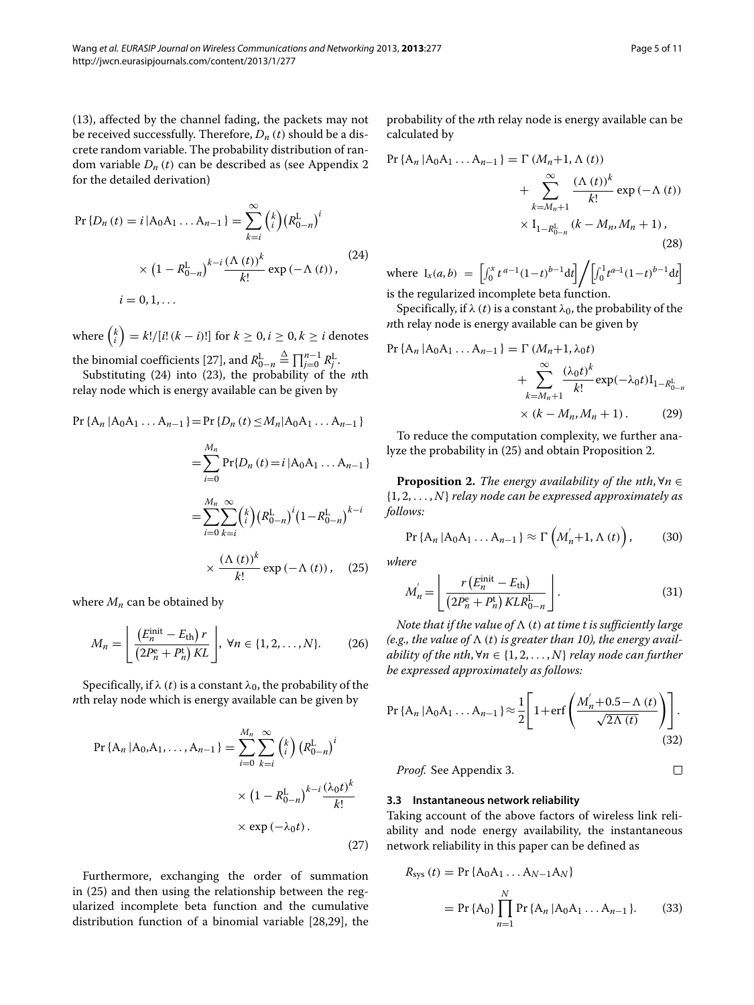[\(13\)](#page-3-0), affected by the channel fading, the packets may not be received successfully. Therefore,  $D_n(t)$  should be a discrete random variable. The probability distribution of random variable  $D_n(t)$  can be described as (see Appendix [2](#page-7-2)) for the detailed derivation)

<span id="page-4-0"></span>
$$
\Pr\{D_n(t) = i | A_0 A_1 ... A_{n-1}\} = \sum_{k=i}^{\infty} {k \choose i} (R_{0-n}^L)^i
$$
  
 
$$
\times (1 - R_{0-n}^L)^{k-i} \frac{(\Lambda(t))^k}{k!} \exp(-\Lambda(t)),
$$
  
 
$$
i = 0, 1, ...
$$
 (24)

where  $\binom{k}{i} = k!/[i!(k-i)!]$  for  $k \geq 0, i \geq 0, k \geq i$  denotes

the binomial coefficients [\[27\]](#page-10-11), and  $R_{0-n}^L$  $\stackrel{\Delta}{=} \prod_{j=0}^{n-1} R_j^L$ . Substituting [\(24\)](#page-4-0) into [\(23\)](#page-3-5), the probability of the *n*th relay node which is energy available can be given by

$$
\Pr\{A_n | A_0 A_1 ... A_{n-1}\} = \Pr\{D_n(t) \le M_n | A_0 A_1 ... A_{n-1}\}\
$$

$$
= \sum_{i=0}^{M_n} \Pr\{D_n(t) = i | A_0 A_1 ... A_{n-1}\}\
$$

$$
= \sum_{i=0}^{M_n} \sum_{k=1}^{\infty} {k \choose i} (R_{0-n}^L)^i (1 - R_{0-n}^L)^{k-i}
$$

$$
\times \frac{(\Lambda(t))^k}{k!} \exp(-\Lambda(t)), \quad (25)
$$

where  $M_n$  can be obtained by

$$
M_n = \left[ \frac{\left(E_n^{\text{init}} - E_{\text{th}}\right) r}{\left(2P_n^{\text{e}} + P_n^{\text{t}}\right) KL} \right], \ \forall n \in \{1, 2, \dots, N\}.
$$
 (26)

Specifically, if  $\lambda$  (*t*) is a constant  $\lambda_0$ , the probability of the *n*th relay node which is energy available can be given by

$$
\Pr\{A_n | A_0, A_1, \dots, A_{n-1}\} = \sum_{i=0}^{M_n} \sum_{k=i}^{\infty} {k \choose i} \left(R_{0-n}^L\right)^i
$$

$$
\times \left(1 - R_{0-n}^L\right)^{k-i} \frac{(\lambda_0 t)^k}{k!}
$$

$$
\times \exp\left(-\lambda_0 t\right).
$$
\n(27)

Furthermore, exchanging the order of summation in [\(25\)](#page-4-1) and then using the relationship between the regularized incomplete beta function and the cumulative distribution function of a binomial variable [\[28,](#page-10-12)[29\]](#page-10-13), the probability of the *n*th relay node is energy available can be calculated by

$$
\Pr\{A_n | A_0 A_1 ... A_{n-1}\} = \Gamma(M_n + 1, \Lambda(t)) + \sum_{k=M_n+1}^{\infty} \frac{(\Lambda(t))^k}{k!} \exp(-\Lambda(t)) + \times I_{1-R_{0-n}^L}(k - M_n, M_n + 1),
$$
\n(28)

where  $I_x(a, b) = \left[ \int_0^x t^{a-1} (1-t)^{b-1} dt \right] / \left[ \int_0^1 t^{a-1} (1-t)^{b-1} dt \right]$ is the regularized incomplete beta function.

Specifically, if  $\lambda$  (*t*) is a constant  $\lambda_0$ , the probability of the *n*th relay node is energy available can be given by

$$
\Pr\{A_n | A_0 A_1 ... A_{n-1}\} = \Gamma(M_n + 1, \lambda_0 t) + \sum_{k=M_n+1}^{\infty} \frac{(\lambda_0 t)^k}{k!} \exp(-\lambda_0 t) I_{1-R_{0-n}^L} + \times (k - M_n, M_n + 1).
$$
 (29)

To reduce the computation complexity, we further analyze the probability in [\(25\)](#page-4-1) and obtain Proposition [2.](#page-4-2)

<span id="page-4-2"></span>**Proposition 2.** *The energy availability of the nth*,  $\forall n \in \mathbb{R}$ {1, 2, *...* , *N*} *relay node can be expressed approximately as follows:*

$$
\Pr\left\{A_n | A_0 A_1 \dots A_{n-1}\right\} \approx \Gamma\left(M_n^{'}+1, \Lambda\left(t\right)\right),\tag{30}
$$

<span id="page-4-1"></span>*where*

$$
M'_{n} = \left\lfloor \frac{r\left(E_{n}^{\text{init}} - E_{\text{th}}\right)}{\left(2P_{n}^{\text{e}} + P_{n}^{\text{t}}\right)KLR_{0-n}^{\text{L}}}\right\rfloor. \tag{31}
$$

*Note that if the value of*  $\Lambda$  (*t*) *at time t is sufficiently large* (e.g., the value of  $\Lambda$  (t) is greater than 10), the energy avail*ability of the nth,*  $\forall n \in \{1, 2, ..., N\}$  *relay node can further be expressed approximately as follows:*

<span id="page-4-3"></span>
$$
\Pr\left\{A_n | A_0 A_1 \dots A_{n-1}\right\} \approx \frac{1}{2} \left[1 + \text{erf}\left(\frac{M_n' + 0.5 - \Lambda(t)}{\sqrt{2\Lambda(t)}}\right)\right].
$$
\n(32)

*Proof.* See Appendix [3.](#page-8-0)

 $\Box$ 

#### **3.3 Instantaneous network reliability**

Taking account of the above factors of wireless link reliability and node energy availability, the instantaneous network reliability in this paper can be defined as

$$
R_{sys} (t) = Pr \{A_0 A_1 ... A_{N-1} A_N\}
$$
  
= Pr \{A\_0\}  $\prod_{n=1}^N Pr \{A_n | A_0 A_1 ... A_{n-1}\}.$  (33)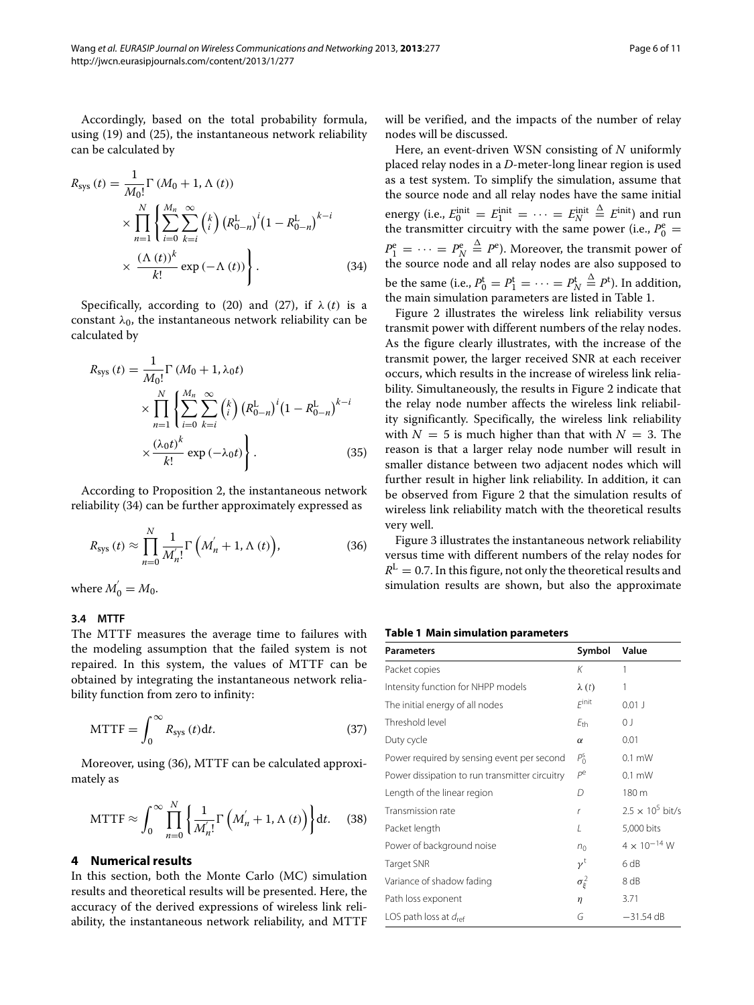Accordingly, based on the total probability formula, using [\(19\)](#page-3-3) and [\(25\)](#page-4-1), the instantaneous network reliability can be calculated by

$$
R_{\rm sys} (t) = \frac{1}{M_0!} \Gamma (M_0 + 1, \Lambda (t))
$$
  
 
$$
\times \prod_{n=1}^{N} \left\{ \sum_{i=0}^{M_n} \sum_{k=i}^{\infty} {k \choose i} (R_{0-n}^L)^i (1 - R_{0-n}^L)^{k-i} \right\}
$$
  
 
$$
\times \frac{(\Lambda (t))^k}{k!} \exp(-\Lambda (t)) \left\}.
$$
 (34)

Specifically, according to [\(20\)](#page-3-6) and [\(27\)](#page-4-3), if  $\lambda(t)$  is a constant  $\lambda_0$ , the instantaneous network reliability can be calculated by

$$
R_{\text{sys}}(t) = \frac{1}{M_0!} \Gamma(M_0 + 1, \lambda_0 t)
$$
  
 
$$
\times \prod_{n=1}^{N} \left\{ \sum_{i=0}^{M_n} \sum_{k=i}^{\infty} {k \choose i} \left( R_{0-n}^{L} \right)^{i} \left( 1 - R_{0-n}^{L} \right)^{k-i} \right. \times \frac{\left( \lambda_0 t \right)^k}{k!} \exp \left( -\lambda_0 t \right) \right\}.
$$
 (35)

According to Proposition [2,](#page-4-2) the instantaneous network reliability [\(34\)](#page-5-1) can be further approximately expressed as

$$
R_{\rm sys}\left(t\right) \approx \prod_{n=0}^{N} \frac{1}{M_{n}'} \Gamma\left(M_{n}'+1,\Lambda\left(t\right)\right),\tag{36}
$$

where  $M_0^{'} = M_0$ .

# **3.4 MTTF**

The MTTF measures the average time to failures with the modeling assumption that the failed system is not repaired. In this system, the values of MTTF can be obtained by integrating the instantaneous network reliability function from zero to infinity:

$$
MTTF = \int_0^\infty R_{sys}(t)dt.
$$
 (37)

Moreover, using [\(36\)](#page-5-2), MTTF can be calculated approximately as

$$
MTTF \approx \int_0^\infty \prod_{n=0}^N \left\{ \frac{1}{M'_{n}!} \Gamma\left(M'_{n} + 1, \Lambda(t)\right) \right\} dt. \quad (38)
$$

# <span id="page-5-0"></span>**4 Numerical results**

In this section, both the Monte Carlo (MC) simulation results and theoretical results will be presented. Here, the accuracy of the derived expressions of wireless link reliability, the instantaneous network reliability, and MTTF will be verified, and the impacts of the number of relay nodes will be discussed.

Here, an event-driven WSN consisting of *N* uniformly placed relay nodes in a *D*-meter-long linear region is used as a test system. To simplify the simulation, assume that the source node and all relay nodes have the same initial energy (i.e.,  $E_0^{\text{init}} = E_1^{\text{init}} = \cdots = E_N^{\text{init}}$  $\stackrel{\Delta}{=}$  *E*<sup>init</sup>) and run the transmitter circuitry with the same power (i.e.,  $P_0^e$  =  $P_1^e = \cdots = P_N^e$  $\stackrel{\Delta}{=}$  *P*<sup>e</sup>). Moreover, the transmit power of the source node and all relay nodes are also supposed to be the same (i.e.,  $P_0^{\text{t}} = P_1^{\text{t}} = \cdots = P_N^{\text{t}}$  $\stackrel{\Delta}{=} P^{\text{t}}$ ). In addition, the main simulation parameters are listed in Table [1.](#page-5-3)

<span id="page-5-1"></span>Figure [2](#page-6-0) illustrates the wireless link reliability versus transmit power with different numbers of the relay nodes. As the figure clearly illustrates, with the increase of the transmit power, the larger received SNR at each receiver occurs, which results in the increase of wireless link reliability. Simultaneously, the results in Figure [2](#page-6-0) indicate that the relay node number affects the wireless link reliability significantly. Specifically, the wireless link reliability with  $N = 5$  is much higher than that with  $N = 3$ . The reason is that a larger relay node number will result in smaller distance between two adjacent nodes which will further result in higher link reliability. In addition, it can be observed from Figure [2](#page-6-0) that the simulation results of wireless link reliability match with the theoretical results very well.

<span id="page-5-2"></span>Figure [3](#page-6-1) illustrates the instantaneous network reliability versus time with different numbers of the relay nodes for  $R<sup>L</sup> = 0.7$ . In this figure, not only the theoretical results and simulation results are shown, but also the approximate

## **Table 1 Main simulation parameters**

<span id="page-5-3"></span>

| <b>Parameters</b>                              | Symbol                   | Value                   |
|------------------------------------------------|--------------------------|-------------------------|
| Packet copies                                  | Κ                        | 1                       |
| Intensity function for NHPP models             | $\lambda(t)$             | 1                       |
| The initial energy of all nodes                | $F$ init                 | $0.01$ J                |
| Threshold level                                | $E_{\text{th}}$          | 0 J                     |
| Duty cycle                                     | $\alpha$                 | 0.01                    |
| Power required by sensing event per second     | $P_0^{\rm s}$            | $0.1$ mW                |
| Power dissipation to run transmitter circuitry | pe                       | $0.1$ mW                |
| Length of the linear region                    | D                        | 180 m                   |
| Transmission rate                              | r                        | $2.5 \times 10^5$ bit/s |
| Packet length                                  | L                        | 5,000 bits              |
| Power of background noise                      | n <sub>0</sub>           | $4 \times 10^{-14}$ W   |
| Target SNR                                     | $\nu^{\dagger}$          | 6 dB                    |
| Variance of shadow fading                      | $\sigma_{\varepsilon}^2$ | 8 dB                    |
| Path loss exponent                             | $\eta$                   | 3.71                    |
| LOS path loss at $d_{ref}$                     | G                        | $-31.54$ dB             |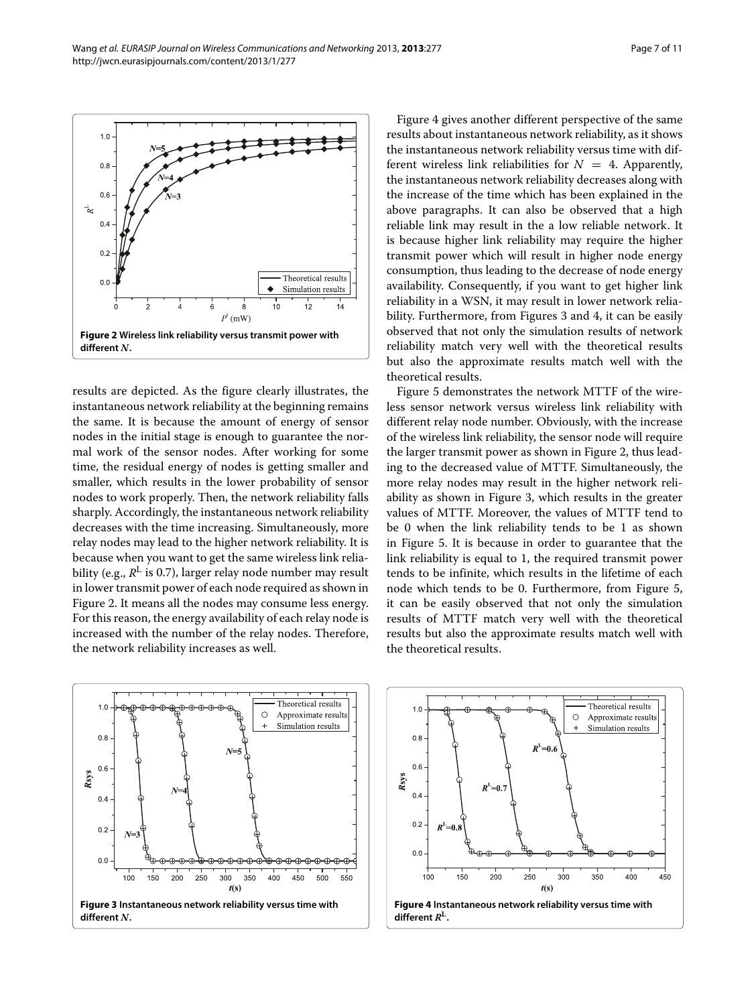

<span id="page-6-0"></span>results are depicted. As the figure clearly illustrates, the instantaneous network reliability at the beginning remains the same. It is because the amount of energy of sensor nodes in the initial stage is enough to guarantee the normal work of the sensor nodes. After working for some time, the residual energy of nodes is getting smaller and smaller, which results in the lower probability of sensor nodes to work properly. Then, the network reliability falls sharply. Accordingly, the instantaneous network reliability decreases with the time increasing. Simultaneously, more relay nodes may lead to the higher network reliability. It is because when you want to get the same wireless link reliability (e.g.,  $R^L$  is 0.7), larger relay node number may result in lower transmit power of each node required as shown in Figure [2.](#page-6-0) It means all the nodes may consume less energy. For this reason, the energy availability of each relay node is increased with the number of the relay nodes. Therefore, the network reliability increases as well.

Figure [4](#page-6-2) gives another different perspective of the same results about instantaneous network reliability, as it shows the instantaneous network reliability versus time with different wireless link reliabilities for  $N = 4$ . Apparently, the instantaneous network reliability decreases along with the increase of the time which has been explained in the above paragraphs. It can also be observed that a high reliable link may result in the a low reliable network. It is because higher link reliability may require the higher transmit power which will result in higher node energy consumption, thus leading to the decrease of node energy availability. Consequently, if you want to get higher link reliability in a WSN, it may result in lower network reliability. Furthermore, from Figures [3](#page-6-1) and [4,](#page-6-2) it can be easily observed that not only the simulation results of network reliability match very well with the theoretical results but also the approximate results match well with the theoretical results.

Figure [5](#page-7-3) demonstrates the network MTTF of the wireless sensor network versus wireless link reliability with different relay node number. Obviously, with the increase of the wireless link reliability, the sensor node will require the larger transmit power as shown in Figure [2,](#page-6-0) thus leading to the decreased value of MTTF. Simultaneously, the more relay nodes may result in the higher network reliability as shown in Figure [3,](#page-6-1) which results in the greater values of MTTF. Moreover, the values of MTTF tend to be 0 when the link reliability tends to be 1 as shown in Figure [5.](#page-7-3) It is because in order to guarantee that the link reliability is equal to 1, the required transmit power tends to be infinite, which results in the lifetime of each node which tends to be 0. Furthermore, from Figure [5,](#page-7-3) it can be easily observed that not only the simulation results of MTTF match very well with the theoretical results but also the approximate results match well with the theoretical results.

<span id="page-6-1"></span>

<span id="page-6-2"></span>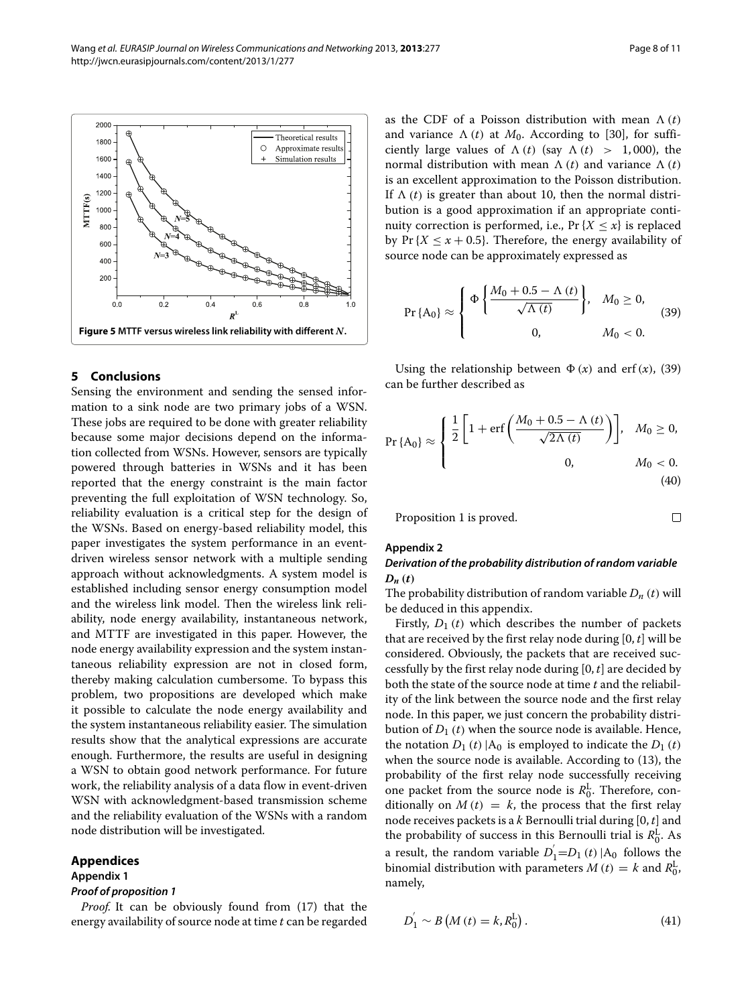$\Box$ 



# <span id="page-7-3"></span><span id="page-7-0"></span>**5 Conclusions**

Sensing the environment and sending the sensed information to a sink node are two primary jobs of a WSN. These jobs are required to be done with greater reliability because some major decisions depend on the information collected from WSNs. However, sensors are typically powered through batteries in WSNs and it has been reported that the energy constraint is the main factor preventing the full exploitation of WSN technology. So, reliability evaluation is a critical step for the design of the WSNs. Based on energy-based reliability model, this paper investigates the system performance in an eventdriven wireless sensor network with a multiple sending approach without acknowledgments. A system model is established including sensor energy consumption model and the wireless link model. Then the wireless link reliability, node energy availability, instantaneous network, and MTTF are investigated in this paper. However, the node energy availability expression and the system instantaneous reliability expression are not in closed form, thereby making calculation cumbersome. To bypass this problem, two propositions are developed which make it possible to calculate the node energy availability and the system instantaneous reliability easier. The simulation results show that the analytical expressions are accurate enough. Furthermore, the results are useful in designing a WSN to obtain good network performance. For future work, the reliability analysis of a data flow in event-driven WSN with acknowledgment-based transmission scheme and the reliability evaluation of the WSNs with a random node distribution will be investigated.

# **Appendices**

## <span id="page-7-1"></span>**Appendix 1**

# *Proof of proposition [1](#page-3-4)*

*Proof.* It can be obviously found from [\(17\)](#page-3-2) that the energy availability of source node at time *t* can be regarded

as the CDF of a Poisson distribution with mean  $\Lambda(t)$ and variance  $\Lambda(t)$  at  $M_0$ . According to [\[30\]](#page-10-14), for sufficiently large values of  $\Lambda(t)$  (say  $\Lambda(t) > 1,000$ ), the normal distribution with mean  $\Lambda$  (*t*) and variance  $\Lambda$  (*t*) is an excellent approximation to the Poisson distribution. If  $\Lambda$  (*t*) is greater than about 10, then the normal distribution is a good approximation if an appropriate continuity correction is performed, i.e., Pr  $\{X \leq x\}$  is replaced by Pr ${X \leq x + 0.5}$ . Therefore, the energy availability of source node can be approximately expressed as

<span id="page-7-4"></span>
$$
\Pr\{A_0\} \approx \begin{cases} \Phi \left\{ \frac{M_0 + 0.5 - \Lambda(t)}{\sqrt{\Lambda(t)}} \right\}, & M_0 \ge 0, \\ 0, & M_0 < 0. \end{cases}
$$
 (39)

Using the relationship between  $\Phi(x)$  and erf $(x)$ , [\(39\)](#page-7-4) can be further described as

$$
\Pr\{A_0\} \approx \begin{cases} \frac{1}{2} \left[ 1 + \text{erf}\left(\frac{M_0 + 0.5 - \Lambda(t)}{\sqrt{2\Lambda(t)}}\right) \right], & M_0 \ge 0, \\ 0, & M_0 < 0. \end{cases} \tag{40}
$$

Proposition [1](#page-3-4) is proved.

#### <span id="page-7-2"></span>**Appendix 2**

# *Derivation of the probability distribution of random variable*  $D_n(t)$

The probability distribution of random variable  $D_n(t)$  will be deduced in this appendix.

Firstly,  $D_1(t)$  which describes the number of packets that are received by the first relay node during [0, *t*] will be considered. Obviously, the packets that are received successfully by the first relay node during [0, *t*] are decided by both the state of the source node at time *t* and the reliability of the link between the source node and the first relay node. In this paper, we just concern the probability distribution of  $D_1(t)$  when the source node is available. Hence, the notation  $D_1(t) |A_0|$  is employed to indicate the  $D_1(t)$ when the source node is available. According to [\(13\)](#page-3-0), the probability of the first relay node successfully receiving one packet from the source node is  $R_0^{\text{L}}$ . Therefore, conditionally on  $M(t) = k$ , the process that the first relay node receives packets is a *k* Bernoulli trial during [0, *t*] and the probability of success in this Bernoulli trial is  $R_0^{\rm L}$ . As a result, the random variable  $D_1 = D_1(t) |A_0|$  follows the binomial distribution with parameters  $M(t) = k$  and  $R_0^L$ , namely,

$$
D_1^{'} \sim B\left(M\left(t\right) = k, R_0^L\right). \tag{41}
$$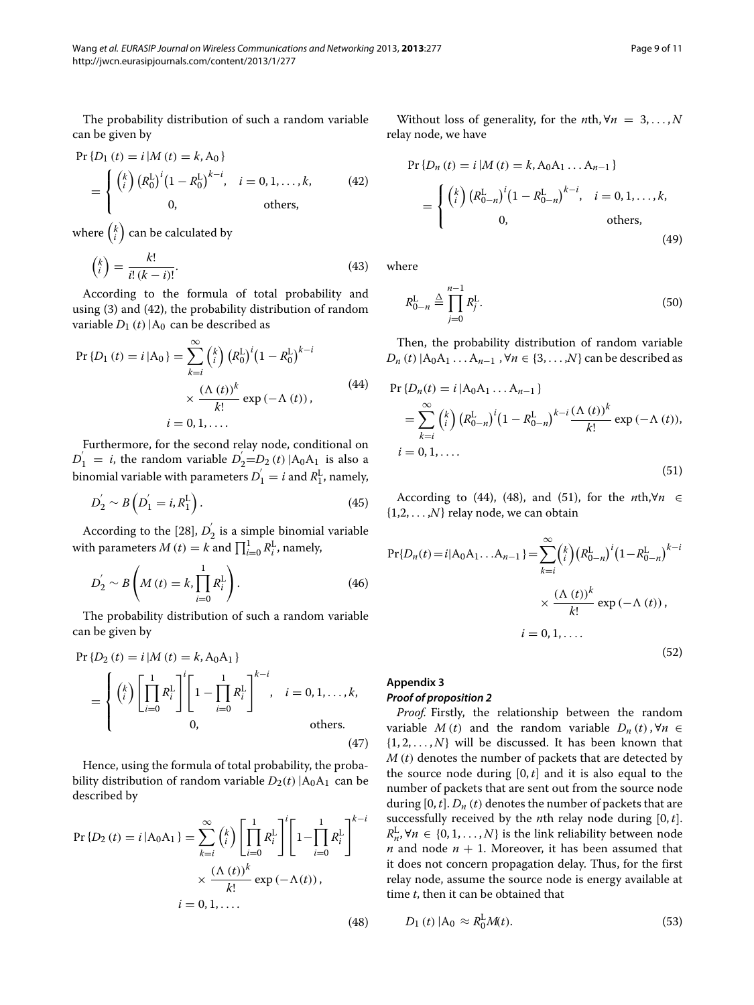The probability distribution of such a random variable can be given by

<span id="page-8-1"></span>
$$
\Pr\{D_1(t) = i | M(t) = k, A_0\}
$$
\n
$$
= \begin{cases} {k \choose i} (R_0^L)^i (1 - R_0^L)^{k - i}, & i = 0, 1, ..., k, \\ 0, & \text{others,} \end{cases}
$$
\n(42)

where  $\left(\begin{smallmatrix}k\\i\end{smallmatrix}\right)$  can be calculated by

$$
\binom{k}{i} = \frac{k!}{i!(k-i)!}.\tag{43}
$$

According to the formula of total probability and using [\(3\)](#page-1-2) and [\(42\)](#page-8-1), the probability distribution of random variable  $D_1(t)$  |A<sub>0</sub> can be described as

$$
\Pr\{D_1(t) = i | A_0\} = \sum_{k=i}^{\infty} {k \choose i} (R_0^L)^i (1 - R_0^L)^{k-i} \times \frac{(\Lambda(t))^k}{k!} \exp(-\Lambda(t)),
$$
\n
$$
i = 0, 1, ....
$$
\n(44)

Furthermore, for the second relay node, conditional on  $D_1' = i$ , the random variable  $D_2' = D_2(t) |A_0 A_1|$  is also a binomial variable with parameters  $D_1^{'} = i$  and  $R_1^L$ , namely,

$$
D_2^{'} \sim B\left(D_1^{'}=i, R_1^L\right). \tag{45}
$$

According to the [\[28\]](#page-10-12),  $D_2^{'}$  is a simple binomial variable with parameters  $M(t) = k$  and  $\prod_{i=0}^{1} R_i^L$ , namely,

$$
D_{2}^{'} \sim B\left(M(t) = k, \prod_{i=0}^{1} R_{i}^{L}\right).
$$
 (46)

The probability distribution of such a random variable can be given by

$$
\Pr\{D_2(t) = i | M(t) = k, A_0 A_1\}
$$
\n
$$
= \begin{cases} {k \choose i} \left[ \prod_{i=0}^1 R_i^L \right]^i \left[ 1 - \prod_{i=0}^1 R_i^L \right]^{k-i}, & i = 0, 1, ..., k, \\ 0, & \text{others.} \end{cases}
$$
\n(47)

Hence, using the formula of total probability, the probability distribution of random variable  $D_2(t)$  |A<sub>0</sub>A<sub>1</sub> can be described by

<span id="page-8-3"></span>
$$
\Pr\{D_2(t) = i | A_0 A_1\} = \sum_{k=i}^{\infty} {k \choose i} \left[ \prod_{i=0}^{1} R_i^L \right]^i \left[ 1 - \prod_{i=0}^{1} R_i^L \right]^{k-i}
$$

$$
\times \frac{(\Lambda(t))^k}{k!} \exp(-\Lambda(t)),
$$

$$
i = 0, 1, .... \tag{48}
$$

Without loss of generality, for the *n*th,  $\forall n = 3, ..., N$ relay node, we have

$$
\Pr\{D_n(t) = i | M(t) = k, A_0 A_1 ... A_{n-1}\}\
$$
\n
$$
= \begin{cases} {k \choose i} (R_{0-n}^L)^i (1 - R_{0-n}^L)^{k-i}, & i = 0, 1, ..., k, \\ 0, & \text{others,} \end{cases}
$$
\n(49)

where

<span id="page-8-4"></span>
$$
R_{0-n}^{\text{L}} \triangleq \prod_{j=0}^{n-1} R_j^{\text{L}}.
$$
 (50)

<span id="page-8-2"></span>Then, the probability distribution of random variable *D<sub>n</sub>* (*t*) |A<sub>0</sub>A<sub>1</sub> ...A<sub>*n*−1</sub>, ∀*n* ∈ {3, ...,*N*} can be described as

$$
\Pr\{D_n(t) = i | A_0 A_1 ... A_{n-1}\}\
$$
\n
$$
= \sum_{k=i}^{\infty} {k \choose i} (R_{0-n}^L)^i (1 - R_{0-n}^L)^{k-i} \frac{(\Lambda(t))^k}{k!} \exp(-\Lambda(t)),
$$
\n
$$
i = 0, 1, ....
$$
\n(51)

According to [\(44\)](#page-8-2), [\(48\)](#page-8-3), and [\(51\)](#page-8-4), for the *n*th,∀*n* ∈  $\{1,2,\ldots,N\}$  relay node, we can obtain

$$
Pr{D_n(t) = i | A_0 A_1 ... A_{n-1}} = \sum_{k=i}^{\infty} {k \choose i} (R_{0-n}^L)^i (1 - R_{0-n}^L)^{k-i}
$$

$$
\times \frac{(\Lambda(t))^k}{k!} \exp(-\Lambda(t)),
$$

$$
i = 0, 1, .... \qquad (52)
$$

# <span id="page-8-0"></span>**Appendix 3** *Proof of proposition [2](#page-4-2)*

*Proof.* Firstly, the relationship between the random variable *M* (*t*) and the random variable  $D_n(t)$ ,  $\forall n \in$  $\{1, 2, \ldots, N\}$  will be discussed. It has been known that *M (t)* denotes the number of packets that are detected by the source node during  $[0, t]$  and it is also equal to the number of packets that are sent out from the source node during  $[0, t]$ .  $D_n(t)$  denotes the number of packets that are successfully received by the *n*th relay node during [0, *t*].  $R_n^L$ ,  $\forall n \in \{0, 1, ..., N\}$  is the link reliability between node *n* and node  $n + 1$ . Moreover, it has been assumed that it does not concern propagation delay. Thus, for the first relay node, assume the source node is energy available at time *t*, then it can be obtained that

<span id="page-8-5"></span>
$$
D_1(t) | A_0 \approx R_0^{\rm L} M(t). \tag{53}
$$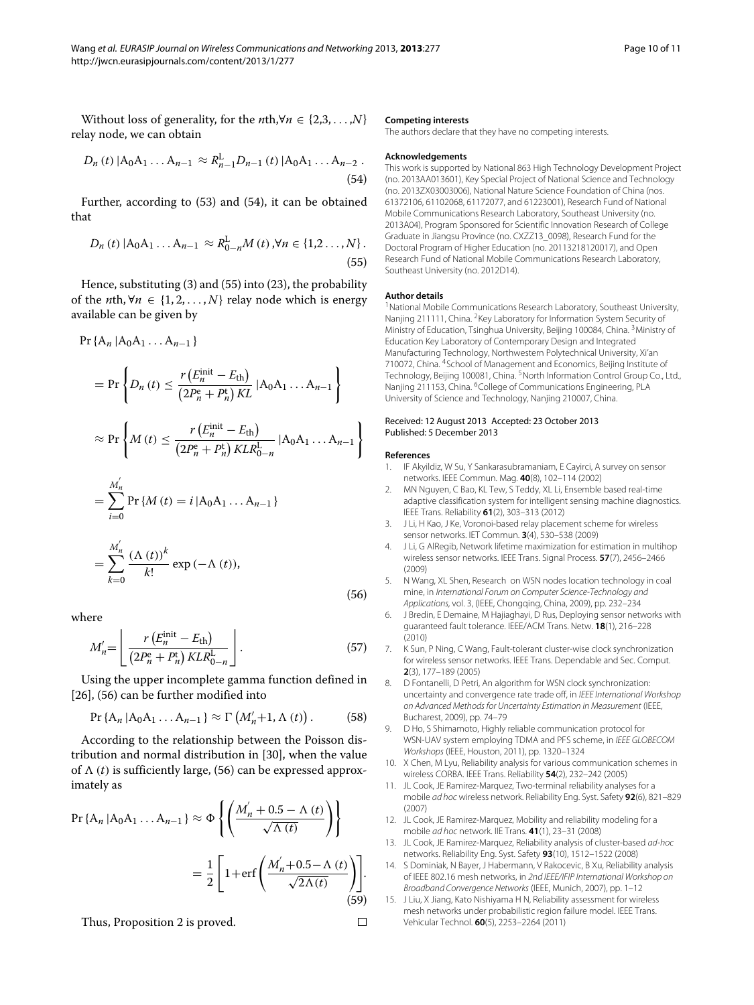Without loss of generality, for the *n*th,∀*n* ∈ {2,3, *...* ,*N*} relay node, we can obtain

<span id="page-9-15"></span>
$$
D_n(t) |A_0 A_1 ... A_{n-1} \approx R_{n-1}^L D_{n-1}(t) |A_0 A_1 ... A_{n-2}.
$$
\n(54)

<span id="page-9-16"></span>Further, according to [\(53\)](#page-8-5) and [\(54\)](#page-9-15), it can be obtained that

$$
D_n(t) | A_0 A_1 ... A_{n-1} \approx R_{0-n}^{\mathcal{L}} M(t), \forall n \in \{1, 2 ... , N\}.
$$
\n(55)

Hence, substituting [\(3\)](#page-1-2) and [\(55\)](#page-9-16) into [\(23\)](#page-3-5), the probability of the *n*th,  $\forall n \in \{1, 2, ..., N\}$  relay node which is energy available can be given by

 $Pr{A_n | A_0A_1 ... A_{n-1}}$ 

<span id="page-9-17"></span>
$$
= \Pr \left\{ D_n(t) \le \frac{r \left( E_n^{\text{init}} - E_{\text{th}} \right)}{\left( 2P_n^e + P_n^t \right) KL} | A_0 A_1 ... A_{n-1} \right\}
$$
  
\n
$$
\approx \Pr \left\{ M(t) \le \frac{r \left( E_n^{\text{init}} - E_{\text{th}} \right)}{\left( 2P_n^e + P_n^t \right) KL R_{0-n}^L} | A_0 A_1 ... A_{n-1} \right\}
$$
  
\n
$$
= \sum_{i=0}^{M_n'} \Pr \{ M(t) = i | A_0 A_1 ... A_{n-1} \}
$$
  
\n
$$
= \sum_{k=0}^{M_n'} \frac{(\Lambda(t))^k}{k!} \exp(-\Lambda(t)), \tag{56}
$$

where

$$
M'_{n} = \left\lfloor \frac{r\left(E_n^{\text{init}} - E_{\text{th}}\right)}{\left(2P_n^{\text{e}} + P_n^{\text{t}}\right)KLR_{0-n}^{\text{L}}}\right\rfloor. \tag{57}
$$

Using the upper incomplete gamma function defined in [\[26\]](#page-10-10), [\(56\)](#page-9-17) can be further modified into

$$
\Pr\left\{A_n\left|A_0A_1\ldots A_{n-1}\right.\right\} \approx \Gamma\left(M'_n+1,\Lambda\left(t\right)\right). \tag{58}
$$

According to the relationship between the Poisson distribution and normal distribution in [\[30\]](#page-10-14), when the value of  $\Lambda$  (*t*) is sufficiently large, [\(56\)](#page-9-17) can be expressed approximately as

$$
\Pr\{A_n | A_0 A_1 \dots A_{n-1}\} \approx \Phi \left\{ \left( \frac{M_n' + 0.5 - \Lambda(t)}{\sqrt{\Lambda(t)}} \right) \right\}
$$

$$
= \frac{1}{2} \left[ 1 + \text{erf} \left( \frac{M_n' + 0.5 - \Lambda(t)}{\sqrt{2\Lambda(t)}} \right) \right].
$$
(59)

Thus, Proposition [2](#page-4-2) is proved.

#### **Competing interests**

The authors declare that they have no competing interests.

#### **Acknowledgements**

This work is supported by National 863 High Technology Development Project (no. 2013AA013601), Key Special Project of National Science and Technology (no. 2013ZX03003006), National Nature Science Foundation of China (nos. 61372106, 61102068, 61172077, and 61223001), Research Fund of National Mobile Communications Research Laboratory, Southeast University (no. 2013A04), Program Sponsored for Scientific Innovation Research of College Graduate in Jiangsu Province (no. CXZZ13\_0098), Research Fund for the Doctoral Program of Higher Education (no. 20113218120017), and Open Research Fund of National Mobile Communications Research Laboratory, Southeast University (no. 2012D14).

#### **Author details**

<sup>1</sup> National Mobile Communications Research Laboratory, Southeast University, Nanjing 211111, China. <sup>2</sup>Key Laboratory for Information System Security of Ministry of Education, Tsinghua University, Beijing 100084, China. 3Ministry of Education Key Laboratory of Contemporary Design and Integrated Manufacturing Technology, Northwestern Polytechnical University, Xi'an 710072, China. 4School of Management and Economics, Beijing Institute of Technology, Beijing 100081, China. <sup>5</sup>North Information Control Group Co., Ltd., Nanjing 211153, China. <sup>6</sup>College of Communications Engineering, PLA University of Science and Technology, Nanjing 210007, China.

#### Received: 12 August 2013 Accepted: 23 October 2013 Published: 5 December 2013

#### **References**

 $\Box$ 

- <span id="page-9-0"></span>1. IF Akyildiz, W Su, Y Sankarasubramaniam, E Cayirci, A survey on sensor networks. IEEE Commun. Mag. **40**(8), 102–114 (2002)
- <span id="page-9-1"></span>2. MN Nguyen, C Bao, KL Tew, S Teddy, XL Li, Ensemble based real-time adaptive classification system for intelligent sensing machine diagnostics. IEEE Trans. Reliability **61**(2), 303–313 (2012)
- <span id="page-9-2"></span>3. J Li, H Kao, J Ke, Voronoi-based relay placement scheme for wireless sensor networks. IET Commun. **3**(4), 530–538 (2009)
- <span id="page-9-3"></span>4. J Li, G AlRegib, Network lifetime maximization for estimation in multihop wireless sensor networks. IEEE Trans. Signal Process. **57**(7), 2456–2466 (2009)
- <span id="page-9-4"></span>5. N Wang, XL Shen, Research on WSN nodes location technology in coal mine, in International Forum on Computer Science-Technology and Applications, vol. 3, (IEEE, Chongqing, China, 2009), pp. 232–234
- <span id="page-9-5"></span>6. J Bredin, E Demaine, M Hajiaghayi, D Rus, Deploying sensor networks with guaranteed fault tolerance. IEEE/ACM Trans. Netw. **18**(1), 216–228 (2010)
- <span id="page-9-6"></span>7. K Sun, P Ning, C Wang, Fault-tolerant cluster-wise clock synchronization for wireless sensor networks. IEEE Trans. Dependable and Sec. Comput. **2**(3), 177–189 (2005)
- <span id="page-9-7"></span>D Fontanelli, D Petri, An algorithm for WSN clock synchronization: uncertainty and convergence rate trade off, in IEEE International Workshop on Advanced Methods for Uncertainty Estimation in Measurement (IEEE, Bucharest, 2009), pp. 74–79
- <span id="page-9-8"></span>9. D Ho, S Shimamoto, Highly reliable communication protocol for WSN-UAV system employing TDMA and PFS scheme, in IEEE GLOBECOM Workshops (IEEE, Houston, 2011), pp. 1320–1324
- <span id="page-9-9"></span>10. X Chen, M Lyu, Reliability analysis for various communication schemes in wireless CORBA. IEEE Trans. Reliability **54**(2), 232–242 (2005)
- <span id="page-9-10"></span>11. JL Cook, JE Ramirez-Marquez, Two-terminal reliability analyses for a mobile ad hoc wireless network. Reliability Eng. Syst. Safety **92**(6), 821–829 (2007)
- <span id="page-9-11"></span>12. JL Cook, JE Ramirez-Marquez, Mobility and reliability modeling for a mobile ad hoc network. IIE Trans. **41**(1), 23–31 (2008)
- <span id="page-9-12"></span>13. JL Cook, JE Ramirez-Marquez, Reliability analysis of cluster-based ad-hoc networks. Reliability Eng. Syst. Safety **93**(10), 1512–1522 (2008)
- <span id="page-9-13"></span>14. S Dominiak, N Bayer, J Habermann, V Rakocevic, B Xu, Reliability analysis of IEEE 802.16 mesh networks, in 2nd IEEE/IFIP International Workshop on Broadband Convergence Networks (IEEE, Munich, 2007), pp. 1–12
- <span id="page-9-14"></span>15. J Liu, X Jiang, Kato Nishiyama H N, Reliability assessment for wireless mesh networks under probabilistic region failure model. IEEE Trans. Vehicular Technol. **60**(5), 2253–2264 (2011)